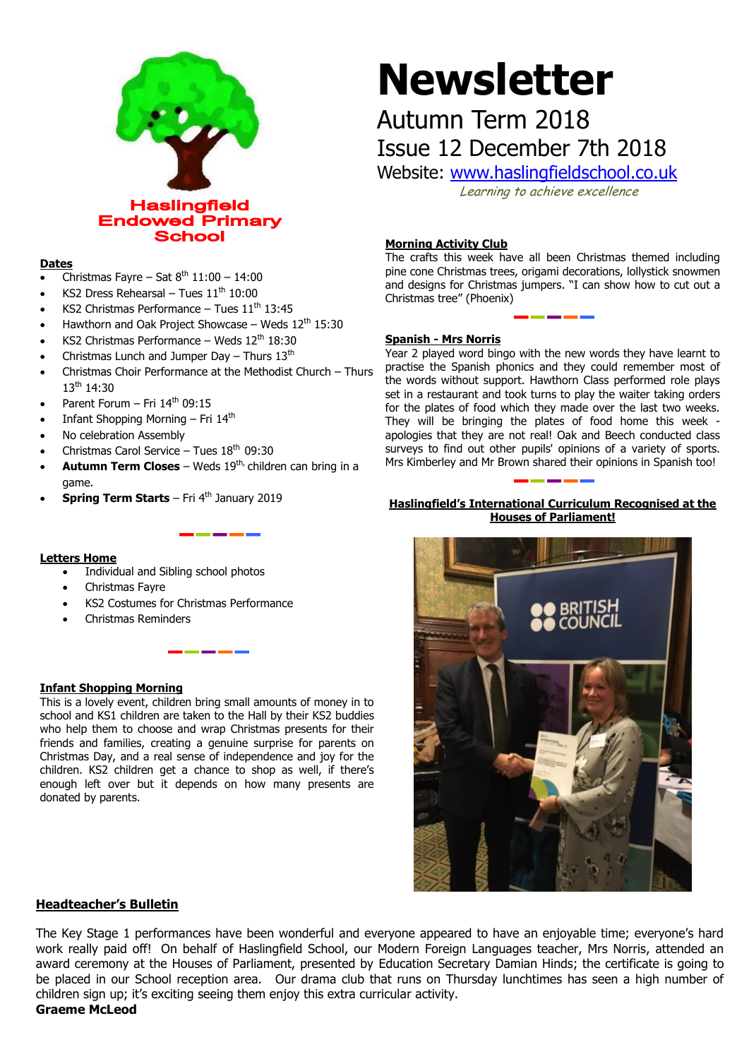

### **Dates**

- Christmas Fayre Sat  $8<sup>th</sup> 11:00 14:00$
- KS2 Dress Rehearsal Tues  $11<sup>th</sup> 10:00$
- KS2 Christmas Performance Tues  $11<sup>th</sup> 13:45$
- Hawthorn and Oak Project Showcase Weds  $12<sup>th</sup> 15:30$
- KS2 Christmas Performance Weds  $12<sup>th</sup> 18:30$
- Christmas Lunch and Jumper Day Thurs  $13<sup>th</sup>$
- Christmas Choir Performance at the Methodist Church Thurs 13<sup>th</sup> 14:30
- Parent Forum Fri  $14<sup>th</sup>$  09:15
- Infant Shopping Morning Fri 14th
- No celebration Assembly
- Christmas Carol Service Tues  $18<sup>th</sup> 09:30$
- **Autumn Term Closes** Weds 19<sup>th,</sup> children can bring in a game.
- **Spring Term Starts** Fri 4<sup>th</sup> January 2019

### **Letters Home**

- Individual and Sibling school photos
- Christmas Fayre
- KS2 Costumes for Christmas Performance
- Christmas Reminders

### **Infant Shopping Morning**

This is a lovely event, children bring small amounts of money in to school and KS1 children are taken to the Hall by their KS2 buddies who help them to choose and wrap Christmas presents for their friends and families, creating a genuine surprise for parents on Christmas Day, and a real sense of independence and joy for the children. KS2 children get a chance to shop as well, if there's enough left over but it depends on how many presents are donated by parents.

# **Newsletter**

# Autumn Term 2018 Issue 12 December 7th 2018

Website: [www.haslingfieldschool.co.uk](http://www.haslingfieldschool.co.uk/)

Learning to achieve excellence

### **Morning Activity Club**

The crafts this week have all been Christmas themed including pine cone Christmas trees, origami decorations, lollystick snowmen and designs for Christmas jumpers. "I can show how to cut out a Christmas tree" (Phoenix)

## **Spanish - Mrs Norris**

Year 2 played word bingo with the new words they have learnt to practise the Spanish phonics and they could remember most of the words without support. Hawthorn Class performed role plays set in a restaurant and took turns to play the waiter taking orders for the plates of food which they made over the last two weeks. They will be bringing the plates of food home this week apologies that they are not real! Oak and Beech conducted class surveys to find out other pupils' opinions of a variety of sports. Mrs Kimberley and Mr Brown shared their opinions in Spanish too!

### **Haslingfield's International Curriculum Recognised at the Houses of Parliament!**



### **Headteacher's Bulletin**

The Key Stage 1 performances have been wonderful and everyone appeared to have an enjoyable time; everyone's hard work really paid off! On behalf of Haslingfield School, our Modern Foreign Languages teacher, Mrs Norris, attended an award ceremony at the Houses of Parliament, presented by Education Secretary Damian Hinds; the certificate is going to be placed in our School reception area. Our drama club that runs on Thursday lunchtimes has seen a high number of children sign up; it's exciting seeing them enjoy this extra curricular activity.

**Graeme McLeod**